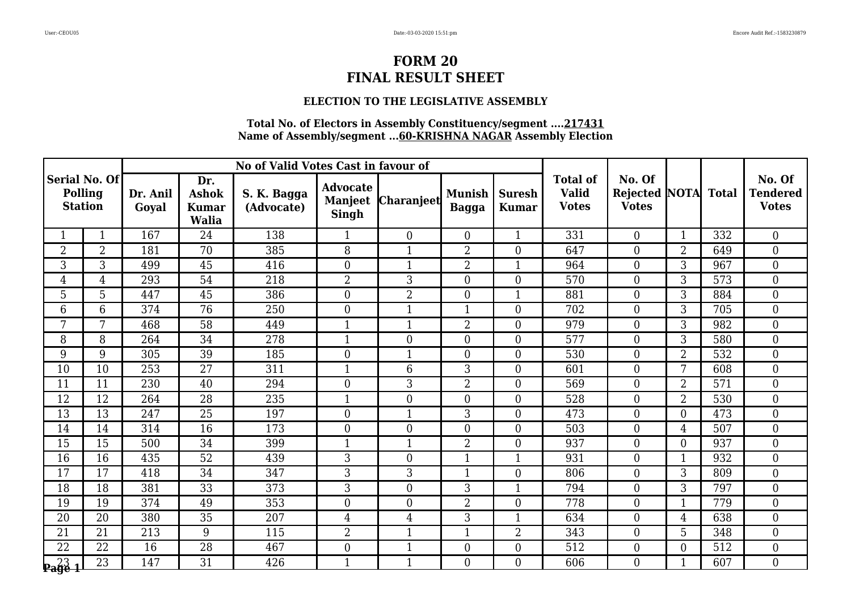### **ELECTION TO THE LEGISLATIVE ASSEMBLY**

|                                            |                 |                   |                                                     | No of Valid Votes Cast in favour of |                                                   |                   |                               |                               |                                                 |                                                |                  |              |                                           |
|--------------------------------------------|-----------------|-------------------|-----------------------------------------------------|-------------------------------------|---------------------------------------------------|-------------------|-------------------------------|-------------------------------|-------------------------------------------------|------------------------------------------------|------------------|--------------|-------------------------------------------|
| Serial No. Of<br>Polling<br><b>Station</b> |                 | Dr. Anil<br>Goval | Dr.<br><b>Ashok</b><br><b>Kumar</b><br><b>Walia</b> | S. K. Bagga<br>(Advocate)           | <b>Advocate</b><br><b>Manjeet</b><br><b>Singh</b> | <b>Charanjeet</b> | <b>Munish</b><br><b>Bagga</b> | <b>Suresh</b><br><b>Kumar</b> | <b>Total of</b><br><b>Valid</b><br><b>Votes</b> | No. Of<br><b>Rejected NOTA</b><br><b>Votes</b> |                  | <b>Total</b> | No. Of<br><b>Tendered</b><br><b>Votes</b> |
|                                            | $\mathbf{1}$    | 167               | 24                                                  | 138                                 | $\mathbf{1}$                                      | $\overline{0}$    | $\boldsymbol{0}$              | $\mathbf{1}$                  | 331                                             | $\overline{0}$                                 | $\mathbf{1}$     | 332          | $\boldsymbol{0}$                          |
| $\overline{2}$                             | $\overline{2}$  | 181               | $\overline{70}$                                     | 385                                 | $\overline{8}$                                    | $\mathbf{1}$      | $\overline{2}$                | $\overline{0}$                | 647                                             | $\overline{0}$                                 | $\overline{2}$   | 649          | $\overline{0}$                            |
| 3                                          | 3               | 499               | 45                                                  | 416                                 | $\overline{0}$                                    | $\mathbf{1}$      | $\overline{2}$                | $\mathbf{1}$                  | 964                                             | $\overline{0}$                                 | 3                | 967          | $\mathbf{0}$                              |
| 4                                          | 4               | 293               | $\overline{54}$                                     | 218                                 | $\overline{2}$                                    | 3                 | $\boldsymbol{0}$              | $\boldsymbol{0}$              | 570                                             | $\overline{0}$                                 | 3                | 573          | $\mathbf{0}$                              |
| 5                                          | 5               | 447               | 45                                                  | 386                                 | $\overline{0}$                                    | $\overline{2}$    | $\overline{0}$                | $\mathbf{1}$                  | 881                                             | $\overline{0}$                                 | 3                | 884          | $\overline{0}$                            |
| 6                                          | 6               | 374               | 76                                                  | 250                                 | $\boldsymbol{0}$                                  | $\mathbf{1}$      | $\mathbf{1}$                  | $\boldsymbol{0}$              | 702                                             | $\overline{0}$                                 | 3                | 705          | $\boldsymbol{0}$                          |
| 7                                          | 7               | 468               | 58                                                  | 449                                 | $\mathbf{1}$                                      | $\mathbf{1}$      | $\overline{2}$                | $\boldsymbol{0}$              | 979                                             | $\overline{0}$                                 | 3                | 982          | $\mathbf{0}$                              |
| 8                                          | 8               | 264               | $\overline{34}$                                     | 278                                 | $\mathbf{1}$                                      | $\Omega$          | $\overline{0}$                | $\overline{0}$                | 577                                             | $\overline{0}$                                 | 3                | 580          | $\overline{0}$                            |
| 9                                          | 9               | 305               | $\overline{39}$                                     | 185                                 | $\boldsymbol{0}$                                  |                   | $\boldsymbol{0}$              | $\boldsymbol{0}$              | 530                                             | $\overline{0}$                                 | $\overline{2}$   | 532          | $\overline{0}$                            |
| 10                                         | 10              | 253               | $\overline{27}$                                     | 311                                 | $\mathbf{1}$                                      | 6                 | 3                             | $\boldsymbol{0}$              | 601                                             | $\boldsymbol{0}$                               | 7                | 608          | $\boldsymbol{0}$                          |
| 11                                         | 11              | 230               | 40                                                  | 294                                 | $\overline{0}$                                    | 3                 | $\overline{2}$                | $\boldsymbol{0}$              | 569                                             | $\overline{0}$                                 | $\overline{2}$   | 571          | $\overline{0}$                            |
| 12                                         | 12              | 264               | $\overline{28}$                                     | 235                                 | $\mathbf{1}$                                      | $\overline{0}$    | $\boldsymbol{0}$              | $\boldsymbol{0}$              | 528                                             | $\overline{0}$                                 | $\overline{2}$   | 530          | $\boldsymbol{0}$                          |
| $\overline{13}$                            | $\overline{13}$ | 247               | $\overline{25}$                                     | 197                                 | $\boldsymbol{0}$                                  | $\mathbf{1}$      | 3                             | $\mathbf{0}$                  | 473                                             | $\overline{0}$                                 | $\overline{0}$   | 473          | $\mathbf{0}$                              |
| 14                                         | 14              | 314               | 16                                                  | 173                                 | $\theta$                                          | $\Omega$          | $\overline{0}$                | $\overline{0}$                | 503                                             | $\overline{0}$                                 | $\overline{4}$   | 507          | $\theta$                                  |
| 15                                         | 15              | 500               | 34                                                  | 399                                 |                                                   |                   | $\overline{2}$                | $\mathbf{0}$                  | 937                                             | $\overline{0}$                                 | $\overline{0}$   | 937          | $\boldsymbol{0}$                          |
| 16                                         | 16              | 435               | 52                                                  | 439                                 | 3                                                 | $\boldsymbol{0}$  | $\mathbf{1}$                  | $\mathbf{1}$                  | 931                                             | $\boldsymbol{0}$                               | $\overline{1}$   | 932          | $\mathbf{0}$                              |
| 17                                         | 17              | 418               | 34                                                  | 347                                 | 3                                                 | 3                 | $\mathbf{1}$                  | $\boldsymbol{0}$              | 806                                             | $\overline{0}$                                 | 3                | 809          | $\boldsymbol{0}$                          |
| 18                                         | 18              | 381               | 33                                                  | 373                                 | 3                                                 | $\overline{0}$    | 3                             | $\mathbf{1}$                  | 794                                             | $\overline{0}$                                 | 3                | 797          | $\mathbf{0}$                              |
| 19                                         | 19              | 374               | 49                                                  | 353                                 | $\mathbf{0}$                                      | $\overline{0}$    | $\overline{2}$                | $\mathbf{0}$                  | 778                                             | $\boldsymbol{0}$                               | 1                | 779          | $\overline{0}$                            |
| 20                                         | 20              | 380               | 35                                                  | 207                                 | $\overline{4}$                                    | $\overline{4}$    | 3                             | $\mathbf{1}$                  | 634                                             | $\overline{0}$                                 | 4                | 638          | $\mathbf{0}$                              |
| 21                                         | 21              | 213               | 9                                                   | 115                                 | $\overline{2}$                                    | $\mathbf{1}$      | $\mathbf{1}$                  | 2                             | 343                                             | $\overline{0}$                                 | 5                | 348          | $\boldsymbol{0}$                          |
| $\overline{22}$                            | $\overline{22}$ | 16                | $\overline{28}$                                     | 467                                 | $\boldsymbol{0}$                                  | $\mathbf{1}$      | $\boldsymbol{0}$              | $\boldsymbol{0}$              | 512                                             | $\overline{0}$                                 | $\boldsymbol{0}$ | 512          | $\mathbf{0}$                              |
| $\mathbf{P}$ age 1                         | 23              | 147               | 31                                                  | 426                                 | $\mathbf{1}$                                      | $\mathbf{1}$      | $\overline{0}$                | $\overline{0}$                | 606                                             | $\overline{0}$                                 | $\mathbf 1$      | 607          | $\overline{0}$                            |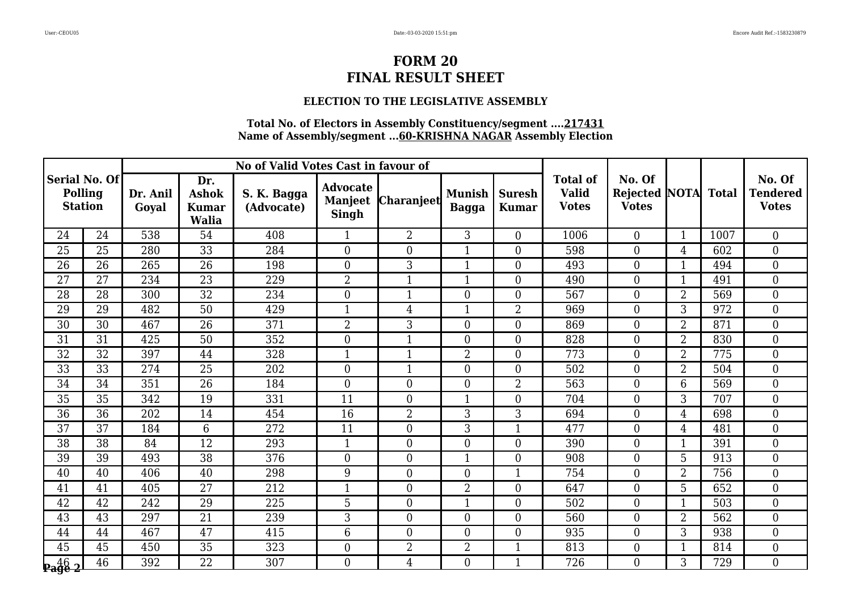#### **ELECTION TO THE LEGISLATIVE ASSEMBLY**

|                                             |                 |                   |                                                     | No of Valid Votes Cast in favour of |                                                   |                   |                               |                               |                                                 |                                         |                |              |                                           |
|---------------------------------------------|-----------------|-------------------|-----------------------------------------------------|-------------------------------------|---------------------------------------------------|-------------------|-------------------------------|-------------------------------|-------------------------------------------------|-----------------------------------------|----------------|--------------|-------------------------------------------|
| Serial No. Of <br>Polling<br><b>Station</b> |                 | Dr. Anil<br>Goyal | Dr.<br><b>Ashok</b><br><b>Kumar</b><br><b>Walia</b> | S. K. Bagga<br>(Advocate)           | <b>Advocate</b><br><b>Manjeet</b><br><b>Singh</b> | <b>Charanjeet</b> | <b>Munish</b><br><b>Bagga</b> | <b>Suresh</b><br><b>Kumar</b> | <b>Total of</b><br><b>Valid</b><br><b>Votes</b> | No. Of<br>Rejected NOTA<br><b>Votes</b> |                | <b>Total</b> | No. Of<br><b>Tendered</b><br><b>Votes</b> |
| 24                                          | 24              | 538               | 54                                                  | 408                                 | $\mathbf{1}$                                      | $\overline{2}$    | 3                             | $\overline{0}$                | 1006                                            | $\overline{0}$                          | $\mathbf{1}$   | 1007         | $\boldsymbol{0}$                          |
| 25                                          | 25              | 280               | 33                                                  | 284                                 | $\overline{0}$                                    | $\theta$          | $\mathbf{1}$                  | $\overline{0}$                | 598                                             | $\overline{0}$                          | $\overline{4}$ | 602          | $\boldsymbol{0}$                          |
| 26                                          | 26              | 265               | 26                                                  | 198                                 | $\overline{0}$                                    | 3                 | 1                             | $\boldsymbol{0}$              | 493                                             | $\boldsymbol{0}$                        | $\mathbf 1$    | 494          | $\boldsymbol{0}$                          |
| $\overline{27}$                             | 27              | 234               | $\overline{23}$                                     | 229                                 | $\overline{2}$                                    | $\mathbf{1}$      | $\mathbf{1}$                  | $\overline{0}$                | 490                                             | $\overline{0}$                          | $\mathbf{1}$   | 491          | $\boldsymbol{0}$                          |
| 28                                          | 28              | 300               | 32                                                  | 234                                 | $\overline{0}$                                    | $\mathbf{1}$      | $\theta$                      | $\overline{0}$                | 567                                             | $\overline{0}$                          | $\overline{2}$ | 569          | $\boldsymbol{0}$                          |
| 29                                          | 29              | 482               | 50                                                  | 429                                 | 1                                                 | $\overline{4}$    | 1                             | $\overline{2}$                | 969                                             | $\overline{0}$                          | 3              | 972          | $\boldsymbol{0}$                          |
| 30                                          | 30              | 467               | 26                                                  | 371                                 | $\overline{2}$                                    | 3                 | $\boldsymbol{0}$              | $\boldsymbol{0}$              | 869                                             | $\boldsymbol{0}$                        | $\overline{2}$ | 871          | $\boldsymbol{0}$                          |
| 31                                          | 31              | 425               | 50                                                  | 352                                 | $\overline{0}$                                    | $\mathbf{1}$      | $\overline{0}$                | $\overline{0}$                | 828                                             | $\overline{0}$                          | $\overline{2}$ | 830          | $\overline{0}$                            |
| 32                                          | 32              | 397               | 44                                                  | 328                                 | $\mathbf{1}$                                      | $\mathbf{1}$      | $\overline{2}$                | $\boldsymbol{0}$              | 773                                             | $\overline{0}$                          | $\overline{2}$ | 775          | $\overline{0}$                            |
| 33                                          | 33              | 274               | 25                                                  | 202                                 | $\boldsymbol{0}$                                  | $\mathbf{1}$      | $\boldsymbol{0}$              | $\boldsymbol{0}$              | 502                                             | $\boldsymbol{0}$                        | $\overline{2}$ | 504          | $\boldsymbol{0}$                          |
| 34                                          | 34              | 351               | 26                                                  | 184                                 | $\overline{0}$                                    | $\overline{0}$    | $\overline{0}$                | $\overline{2}$                | 563                                             | $\overline{0}$                          | 6              | 569          | $\boldsymbol{0}$                          |
| 35                                          | 35              | 342               | 19                                                  | 331                                 | 11                                                | $\overline{0}$    | 1                             | $\boldsymbol{0}$              | 704                                             | $\overline{0}$                          | 3              | 707          | $\overline{0}$                            |
| 36                                          | $\overline{36}$ | 202               | 14                                                  | 454                                 | $\overline{16}$                                   | $\overline{2}$    | 3                             | 3                             | 694                                             | $\overline{0}$                          | $\overline{4}$ | 698          | $\overline{0}$                            |
| 37                                          | 37              | 184               | 6                                                   | 272                                 | 11                                                | $\overline{0}$    | 3                             | $\mathbf{1}$                  | 477                                             | $\overline{0}$                          | $\overline{4}$ | 481          | $\boldsymbol{0}$                          |
| 38                                          | 38              | 84                | 12                                                  | 293                                 | $\mathbf{1}$                                      | $\overline{0}$    | $\boldsymbol{0}$              | $\boldsymbol{0}$              | 390                                             | $\overline{0}$                          | $\mathbf{1}$   | 391          | $\boldsymbol{0}$                          |
| 39                                          | 39              | 493               | 38                                                  | 376                                 | $\mathbf{0}$                                      | $\mathbf{0}$      | $\mathbf{1}$                  | $\overline{0}$                | 908                                             | $\overline{0}$                          | 5              | 913          | $\overline{0}$                            |
| 40                                          | 40              | 406               | 40                                                  | 298                                 | 9                                                 | $\overline{0}$    | $\boldsymbol{0}$              | $\mathbf{1}$                  | 754                                             | $\overline{0}$                          | $\overline{2}$ | 756          | $\boldsymbol{0}$                          |
| 41                                          | 41              | 405               | 27                                                  | 212                                 | $\mathbf{1}$                                      | $\overline{0}$    | $\overline{2}$                | $\boldsymbol{0}$              | 647                                             | $\overline{0}$                          | 5              | 652          | $\boldsymbol{0}$                          |
| 42                                          | 42              | 242               | $\overline{29}$                                     | 225                                 | 5                                                 | $\mathbf{0}$      | $\mathbf{1}$                  | $\boldsymbol{0}$              | 502                                             | $\overline{0}$                          | $\mathbf{1}$   | 503          | $\overline{0}$                            |
| 43                                          | 43              | 297               | 21                                                  | 239                                 | 3                                                 | $\overline{0}$    | $\overline{0}$                | $\overline{0}$                | 560                                             | $\overline{0}$                          | $\overline{2}$ | 562          | $\overline{0}$                            |
| 44                                          | 44              | 467               | 47                                                  | 415                                 | 6                                                 | $\overline{0}$    | $\boldsymbol{0}$              | $\boldsymbol{0}$              | 935                                             | $\overline{0}$                          | 3              | 938          | $\boldsymbol{0}$                          |
| 45                                          | 45              | 450               | $\overline{35}$                                     | 323                                 | $\boldsymbol{0}$                                  | $\overline{2}$    | $\overline{2}$                | $\mathbf{1}$                  | 813                                             | $\overline{0}$                          | $\mathbf{1}$   | 814          | $\overline{0}$                            |
| $\frac{46}{2}$                              | 46              | 392               | 22                                                  | 307                                 | $\overline{0}$                                    | $\overline{4}$    | $\overline{0}$                | $\mathbf{1}$                  | 726                                             | $\overline{0}$                          | 3              | 729          | $\boldsymbol{0}$                          |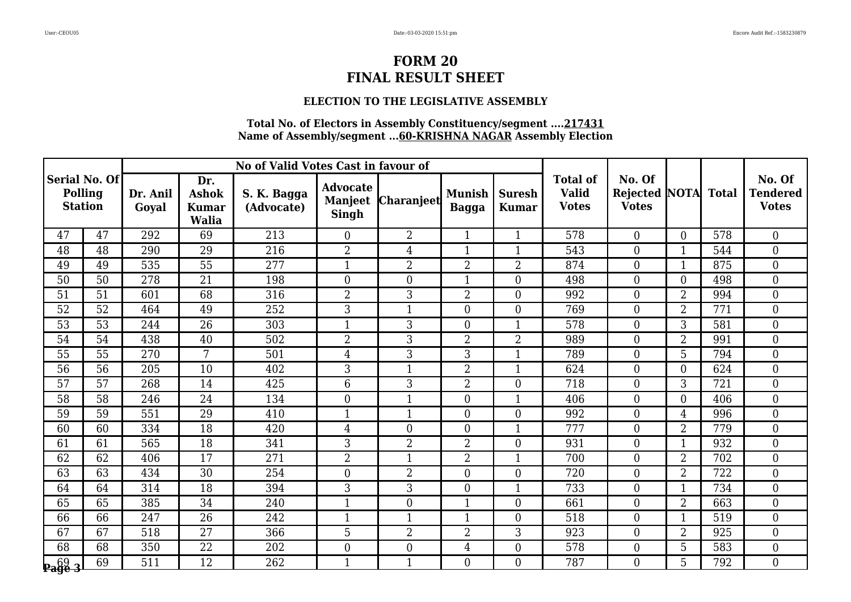### **ELECTION TO THE LEGISLATIVE ASSEMBLY**

|                                             |                 |                   |                                                     | No of Valid Votes Cast in favour of |                                                   |                   |                               |                               |                                                 |                                           |                  |              |                                           |
|---------------------------------------------|-----------------|-------------------|-----------------------------------------------------|-------------------------------------|---------------------------------------------------|-------------------|-------------------------------|-------------------------------|-------------------------------------------------|-------------------------------------------|------------------|--------------|-------------------------------------------|
| Serial No. Of <br>Polling<br><b>Station</b> |                 | Dr. Anil<br>Goval | Dr.<br><b>Ashok</b><br><b>Kumar</b><br><b>Walia</b> | S. K. Bagga<br>(Advocate)           | <b>Advocate</b><br><b>Manjeet</b><br><b>Singh</b> | <b>Charanjeet</b> | <b>Munish</b><br><b>Bagga</b> | <b>Suresh</b><br><b>Kumar</b> | <b>Total of</b><br><b>Valid</b><br><b>Votes</b> | No. Of<br><b>Rejected</b><br><b>Votes</b> | <b>NOTA</b>      | <b>Total</b> | No. Of<br><b>Tendered</b><br><b>Votes</b> |
| 47                                          | 47              | 292               | 69                                                  | 213                                 | $\overline{0}$                                    | $\overline{2}$    | $\mathbf{1}$                  | $\mathbf{1}$                  | 578                                             | $\overline{0}$                            | $\theta$         | 578          | $\boldsymbol{0}$                          |
| 48                                          | 48              | 290               | 29                                                  | 216                                 | $\overline{2}$                                    | $\overline{4}$    | $\mathbf{1}$                  | $\mathbf{1}$                  | 543                                             | $\theta$                                  | $\mathbf{1}$     | 544          | $\overline{0}$                            |
| 49                                          | 49              | 535               | 55                                                  | 277                                 | 1                                                 | $\overline{2}$    | $\overline{2}$                | $\overline{2}$                | 874                                             | $\overline{0}$                            | $\mathbf 1$      | 875          | $\overline{0}$                            |
| 50                                          | 50              | 278               | 21                                                  | 198                                 | $\boldsymbol{0}$                                  | $\overline{0}$    | $\mathbf{1}$                  | $\boldsymbol{0}$              | 498                                             | $\boldsymbol{0}$                          | $\boldsymbol{0}$ | 498          | $\boldsymbol{0}$                          |
| 51                                          | 51              | 601               | 68                                                  | 316                                 | $\overline{2}$                                    | 3                 | $\overline{2}$                | $\overline{0}$                | 992                                             | $\overline{0}$                            | $\overline{2}$   | 994          | $\overline{0}$                            |
| 52                                          | 52              | 464               | 49                                                  | 252                                 | 3                                                 |                   | $\overline{0}$                | $\boldsymbol{0}$              | 769                                             | $\boldsymbol{0}$                          | $\overline{2}$   | 771          | $\overline{0}$                            |
| 53                                          | $\overline{53}$ | 244               | $\overline{26}$                                     | 303                                 | $\mathbf{1}$                                      | 3                 | $\overline{0}$                | $\mathbf{1}$                  | 578                                             | $\boldsymbol{0}$                          | $\overline{3}$   | 581          | $\boldsymbol{0}$                          |
| 54                                          | 54              | 438               | 40                                                  | 502                                 | $\overline{2}$                                    | 3                 | $\overline{2}$                | $\overline{2}$                | 989                                             | $\overline{0}$                            | $\overline{2}$   | 991          | $\overline{0}$                            |
| 55                                          | 55              | 270               | $7\overline{ }$                                     | 501                                 | $\overline{4}$                                    | $\overline{3}$    | 3                             | $\mathbf{1}$                  | 789                                             | $\overline{0}$                            | 5                | 794          | $\boldsymbol{0}$                          |
| 56                                          | 56              | 205               | 10                                                  | 402                                 | 3                                                 | $\overline{1}$    | $\overline{2}$                | $\mathbf{1}$                  | 624                                             | $\overline{0}$                            | $\overline{0}$   | 624          | $\mathbf{0}$                              |
| 57                                          | 57              | 268               | 14                                                  | 425                                 | 6                                                 | 3                 | $\overline{2}$                | $\theta$                      | 718                                             | $\overline{0}$                            | 3                | 721          | $\overline{0}$                            |
| 58                                          | 58              | 246               | 24                                                  | 134                                 | $\overline{0}$                                    | $\mathbf 1$       | $\overline{0}$                | 1                             | 406                                             | $\overline{0}$                            | $\overline{0}$   | 406          | $\boldsymbol{0}$                          |
| 59                                          | 59              | 551               | $\overline{29}$                                     | 410                                 | $\mathbf{1}$                                      | $\mathbf{1}$      | $\boldsymbol{0}$              | $\boldsymbol{0}$              | 992                                             | $\boldsymbol{0}$                          | 4                | 996          | $\boldsymbol{0}$                          |
| 60                                          | 60              | 334               | 18                                                  | 420                                 | $\overline{4}$                                    | $\overline{0}$    | $\boldsymbol{0}$              | $\mathbf{1}$                  | 777                                             | $\overline{0}$                            | $\overline{2}$   | 779          | $\boldsymbol{0}$                          |
| 61                                          | 61              | 565               | 18                                                  | 341                                 | 3                                                 | $\overline{2}$    | $\overline{2}$                | $\overline{0}$                | 931                                             | $\overline{0}$                            | $\mathbf 1$      | 932          | $\overline{0}$                            |
| 62                                          | 62              | 406               | 17                                                  | 271                                 | $\overline{2}$                                    | $\mathbf{1}$      | $\overline{2}$                | $\mathbf{1}$                  | 700                                             | $\overline{0}$                            | $\overline{2}$   | 702          | $\mathbf{0}$                              |
| 63                                          | 63              | 434               | 30                                                  | 254                                 | $\boldsymbol{0}$                                  | $\overline{2}$    | $\boldsymbol{0}$              | $\boldsymbol{0}$              | 720                                             | $\overline{0}$                            | $\overline{2}$   | 722          | $\boldsymbol{0}$                          |
| 64                                          | 64              | 314               | 18                                                  | 394                                 | 3                                                 | 3                 | $\boldsymbol{0}$              | $\mathbf{1}$                  | 733                                             | $\overline{0}$                            | $\mathbf{1}$     | 734          | $\overline{0}$                            |
| 65                                          | 65              | 385               | 34                                                  | 240                                 | $\mathbf{1}$                                      | $\overline{0}$    | $\overline{1}$                | $\overline{0}$                | 661                                             | $\overline{0}$                            | $\overline{2}$   | 663          | $\overline{0}$                            |
| 66                                          | 66              | 247               | 26                                                  | 242                                 | $\mathbf{1}$                                      | -1                | $\mathbf 1$                   | $\overline{0}$                | 518                                             | $\overline{0}$                            | $\mathbf 1$      | 519          | $\overline{0}$                            |
| 67                                          | 67              | 518               | $\overline{27}$                                     | 366                                 | 5                                                 | $\overline{2}$    | $\overline{2}$                | 3                             | 923                                             | $\boldsymbol{0}$                          | $\overline{2}$   | 925          | $\boldsymbol{0}$                          |
| 68                                          | 68              | 350               | $\overline{22}$                                     | 202                                 | $\boldsymbol{0}$                                  | $\boldsymbol{0}$  | $\overline{4}$                | $\boldsymbol{0}$              | 578                                             | $\boldsymbol{0}$                          | 5                | 583          | $\boldsymbol{0}$                          |
| $\mathbf{Page~3}$                           | 69              | 511               | 12                                                  | 262                                 | $\mathbf{1}$                                      | $\mathbf{1}$      | $\overline{0}$                | $\overline{0}$                | 787                                             | $\overline{0}$                            | $5\phantom{.0}$  | 792          | $\overline{0}$                            |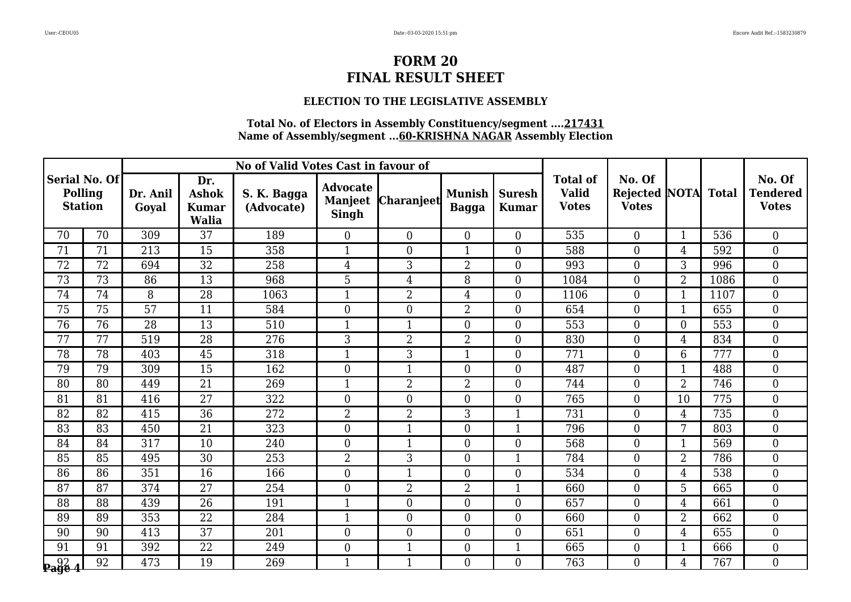### **ELECTION TO THE LEGISLATIVE ASSEMBLY**

|                                             |    |                   |                                                     | No of Valid Votes Cast in favour of |                                                   |                   |                               |                               |                                                 |                                                |                  |              |                                           |
|---------------------------------------------|----|-------------------|-----------------------------------------------------|-------------------------------------|---------------------------------------------------|-------------------|-------------------------------|-------------------------------|-------------------------------------------------|------------------------------------------------|------------------|--------------|-------------------------------------------|
| Serial No. Of <br>Polling<br><b>Station</b> |    | Dr. Anil<br>Goyal | Dr.<br><b>Ashok</b><br><b>Kumar</b><br><b>Walia</b> | S. K. Bagga<br>(Advocate)           | <b>Advocate</b><br><b>Manjeet</b><br><b>Singh</b> | <b>Charanjeet</b> | <b>Munish</b><br><b>Bagga</b> | <b>Suresh</b><br><b>Kumar</b> | <b>Total of</b><br><b>Valid</b><br><b>Votes</b> | No. Of<br><b>Rejected NOTA</b><br><b>Votes</b> |                  | <b>Total</b> | No. Of<br><b>Tendered</b><br><b>Votes</b> |
| 70                                          | 70 | 309               | 37                                                  | 189                                 | $\overline{0}$                                    | $\Omega$          | $\boldsymbol{0}$              | $\boldsymbol{0}$              | 535                                             | $\overline{0}$                                 | $\mathbf{1}$     | 536          | $\overline{0}$                            |
| 71                                          | 71 | 213               | 15                                                  | 358                                 | $\mathbf{1}$                                      | $\overline{0}$    | $\mathbf{1}$                  | $\overline{0}$                | 588                                             | $\Omega$                                       | 4                | 592          | $\theta$                                  |
| 72                                          | 72 | 694               | 32                                                  | 258                                 | 4                                                 | 3                 | $\overline{2}$                | $\boldsymbol{0}$              | 993                                             | $\overline{0}$                                 | 3                | 996          | $\boldsymbol{0}$                          |
| 73                                          | 73 | 86                | 13                                                  | 968                                 | 5                                                 | $\overline{4}$    | 8                             | $\boldsymbol{0}$              | 1084                                            | $\overline{0}$                                 | $\overline{2}$   | 1086         | $\boldsymbol{0}$                          |
| 74                                          | 74 | 8                 | 28                                                  | 1063                                | $\mathbf{1}$                                      | $\overline{2}$    | $\overline{4}$                | $\overline{0}$                | 1106                                            | $\overline{0}$                                 | $\mathbf{1}$     | 1107         | $\overline{0}$                            |
| 75                                          | 75 | 57                | 11                                                  | 584                                 | $\overline{0}$                                    | $\overline{0}$    | $\overline{2}$                | $\boldsymbol{0}$              | 654                                             | $\overline{0}$                                 | $\overline{1}$   | 655          | $\overline{0}$                            |
| 76                                          | 76 | 28                | 13                                                  | 510                                 | $\mathbf{1}$                                      | $\mathbf{1}$      | $\boldsymbol{0}$              | $\boldsymbol{0}$              | 553                                             | $\overline{0}$                                 | $\boldsymbol{0}$ | 553          | $\boldsymbol{0}$                          |
| 77                                          | 77 | 519               | 28                                                  | 276                                 | 3                                                 | $\overline{2}$    | $\overline{2}$                | $\boldsymbol{0}$              | 830                                             | $\overline{0}$                                 | $\overline{4}$   | 834          | $\overline{0}$                            |
| 78                                          | 78 | 403               | 45                                                  | 318                                 | $\mathbf{1}$                                      | 3                 | $\mathbf{1}$                  | $\boldsymbol{0}$              | 771                                             | $\overline{0}$                                 | 6                | 777          | $\boldsymbol{0}$                          |
| 79                                          | 79 | 309               | 15                                                  | 162                                 | $\boldsymbol{0}$                                  | $\mathbf{1}$      | $\mathbf{0}$                  | $\boldsymbol{0}$              | 487                                             | $\overline{0}$                                 | $\mathbf{1}$     | 488          | $\mathbf{0}$                              |
| 80                                          | 80 | 449               | 21                                                  | 269                                 | $\mathbf{1}$                                      | $\overline{2}$    | $\overline{2}$                | $\overline{0}$                | 744                                             | $\overline{0}$                                 | $\overline{2}$   | 746          | $\theta$                                  |
| 81                                          | 81 | 416               | $\overline{27}$                                     | 322                                 | $\overline{0}$                                    | $\overline{0}$    | $\boldsymbol{0}$              | $\boldsymbol{0}$              | 765                                             | $\overline{0}$                                 | 10               | 775          | $\boldsymbol{0}$                          |
| 82                                          | 82 | 415               | $\overline{36}$                                     | 272                                 | $\overline{2}$                                    | $\overline{2}$    | 3                             | $\mathbf{1}$                  | 731                                             | $\boldsymbol{0}$                               | 4                | 735          | $\boldsymbol{0}$                          |
| 83                                          | 83 | 450               | 21                                                  | 323                                 | $\boldsymbol{0}$                                  | $\mathbf{1}$      | $\boldsymbol{0}$              | $\mathbf{1}$                  | 796                                             | $\overline{0}$                                 | 7                | 803          | $\overline{0}$                            |
| 84                                          | 84 | 317               | 10                                                  | 240                                 | $\theta$                                          | $\mathbf 1$       | $\overline{0}$                | $\overline{0}$                | 568                                             | $\overline{0}$                                 | $\mathbf{1}$     | 569          | $\overline{0}$                            |
| 85                                          | 85 | 495               | $\overline{30}$                                     | 253                                 | $\overline{2}$                                    | $\overline{3}$    | $\mathbf{0}$                  | $\mathbf{1}$                  | 784                                             | $\boldsymbol{0}$                               | $\overline{2}$   | 786          | $\mathbf{0}$                              |
| 86                                          | 86 | 351               | 16                                                  | 166                                 | $\boldsymbol{0}$                                  | $\mathbf{1}$      | $\boldsymbol{0}$              | $\boldsymbol{0}$              | 534                                             | $\overline{0}$                                 | 4                | 538          | $\boldsymbol{0}$                          |
| 87                                          | 87 | 374               | 27                                                  | 254                                 | $\overline{0}$                                    | $\overline{2}$    | $\overline{2}$                | $\mathbf{1}$                  | 660                                             | $\overline{0}$                                 | 5                | 665          | $\mathbf{0}$                              |
| 88                                          | 88 | 439               | 26                                                  | 191                                 | $\mathbf{1}$                                      | $\overline{0}$    | $\overline{0}$                | $\mathbf{0}$                  | 657                                             | $\overline{0}$                                 | $\overline{4}$   | 661          | $\overline{0}$                            |
| 89                                          | 89 | 353               | 22                                                  | 284                                 | $\mathbf{1}$                                      | $\overline{0}$    | $\boldsymbol{0}$              | $\boldsymbol{0}$              | 660                                             | $\overline{0}$                                 | $\overline{2}$   | 662          | $\overline{0}$                            |
| 90                                          | 90 | 413               | 37                                                  | 201                                 | $\overline{0}$                                    | $\overline{0}$    | $\boldsymbol{0}$              | $\boldsymbol{0}$              | 651                                             | $\overline{0}$                                 | 4                | 655          | $\boldsymbol{0}$                          |
| 91                                          | 91 | 392               | $\overline{22}$                                     | 249                                 | $\boldsymbol{0}$                                  | $\mathbf{1}$      | $\boldsymbol{0}$              | $\mathbf{1}$                  | 665                                             | $\overline{0}$                                 | $\overline{1}$   | 666          | $\boldsymbol{0}$                          |
| $\sqrt{\frac{92}{2}}$ 4                     | 92 | 473               | 19                                                  | 269                                 | $\mathbf 1$                                       | $\mathbf{1}$      | $\overline{0}$                | $\overline{0}$                | 763                                             | $\overline{0}$                                 | $\overline{4}$   | 767          | $\overline{0}$                            |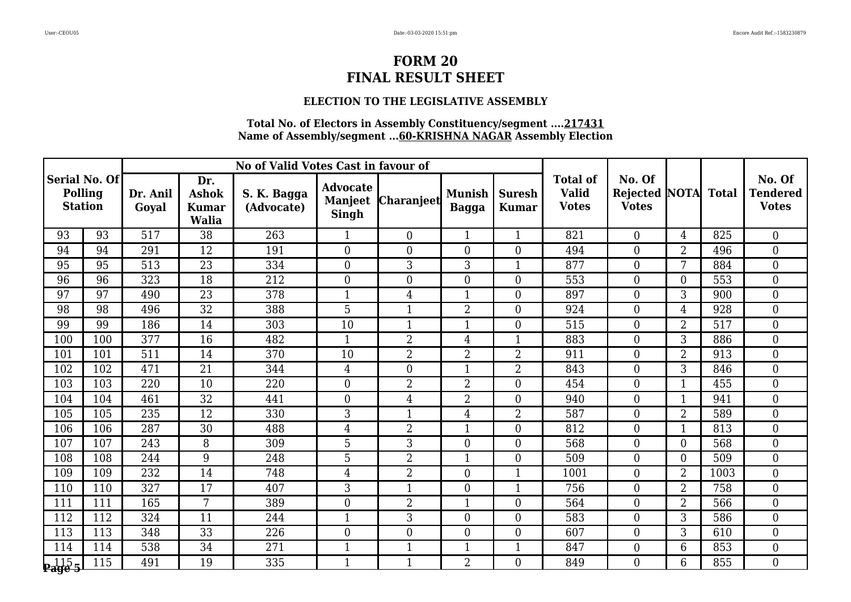### **ELECTION TO THE LEGISLATIVE ASSEMBLY**

|                                            |     |                   |                                                     | No of Valid Votes Cast in favour of |                                                   |                   |                               |                               |                                                 |                                                |                |              |                                           |
|--------------------------------------------|-----|-------------------|-----------------------------------------------------|-------------------------------------|---------------------------------------------------|-------------------|-------------------------------|-------------------------------|-------------------------------------------------|------------------------------------------------|----------------|--------------|-------------------------------------------|
| Serial No. Of<br>Polling<br><b>Station</b> |     | Dr. Anil<br>Goyal | Dr.<br><b>Ashok</b><br><b>Kumar</b><br><b>Walia</b> | S. K. Bagga<br>(Advocate)           | <b>Advocate</b><br><b>Manjeet</b><br><b>Singh</b> | <b>Charanjeet</b> | <b>Munish</b><br><b>Bagga</b> | <b>Suresh</b><br><b>Kumar</b> | <b>Total of</b><br><b>Valid</b><br><b>Votes</b> | No. Of<br><b>Rejected NOTA</b><br><b>Votes</b> |                | <b>Total</b> | No. Of<br><b>Tendered</b><br><b>Votes</b> |
| 93                                         | 93  | 517               | 38                                                  | 263                                 | $\mathbf{1}$                                      | $\Omega$          | $\mathbf{1}$                  | $\mathbf{1}$                  | 821                                             | $\overline{0}$                                 | 4              | 825          | $\overline{0}$                            |
| 94                                         | 94  | 291               | 12                                                  | 191                                 | $\theta$                                          | $\overline{0}$    | $\overline{0}$                | $\overline{0}$                | 494                                             | $\Omega$                                       | $\overline{2}$ | 496          | $\overline{0}$                            |
| 95                                         | 95  | 513               | 23                                                  | 334                                 | $\boldsymbol{0}$                                  | 3                 | 3                             | $\mathbf{1}$                  | 877                                             | $\overline{0}$                                 | 7              | 884          | $\boldsymbol{0}$                          |
| 96                                         | 96  | 323               | 18                                                  | 212                                 | $\boldsymbol{0}$                                  | $\boldsymbol{0}$  | $\boldsymbol{0}$              | $\boldsymbol{0}$              | 553                                             | $\overline{0}$                                 | $\mathbf{0}$   | 553          | $\boldsymbol{0}$                          |
| 97                                         | 97  | 490               | 23                                                  | 378                                 | $\mathbf{1}$                                      | $\overline{4}$    | $\mathbf{1}$                  | $\overline{0}$                | 897                                             | $\overline{0}$                                 | 3              | 900          | $\overline{0}$                            |
| 98                                         | 98  | 496               | 32                                                  | 388                                 | 5                                                 | 1                 | $\overline{2}$                | $\boldsymbol{0}$              | 924                                             | $\overline{0}$                                 | 4              | 928          | $\overline{0}$                            |
| 99                                         | 99  | 186               | 14                                                  | 303                                 | 10                                                | $\mathbf{1}$      | $\mathbf{1}$                  | $\boldsymbol{0}$              | 515                                             | $\overline{0}$                                 | $\overline{2}$ | 517          | $\mathbf{0}$                              |
| 100                                        | 100 | 377               | 16                                                  | 482                                 | $\mathbf{1}$                                      | $\overline{2}$    | $\overline{4}$                | $\mathbf{1}$                  | 883                                             | $\overline{0}$                                 | 3              | 886          | $\overline{0}$                            |
| 101                                        | 101 | 511               | 14                                                  | 370                                 | 10                                                | $\overline{2}$    | $\overline{2}$                | $\overline{2}$                | 911                                             | $\overline{0}$                                 | $\overline{2}$ | 913          | $\boldsymbol{0}$                          |
| 102                                        | 102 | 471               | 21                                                  | 344                                 | $\overline{4}$                                    | $\overline{0}$    | $\mathbf{1}$                  | $\overline{2}$                | 843                                             | $\overline{0}$                                 | 3              | 846          | $\mathbf{0}$                              |
| 103                                        | 103 | 220               | 10                                                  | 220                                 | $\theta$                                          | $\overline{2}$    | $\overline{2}$                | $\overline{0}$                | 454                                             | $\overline{0}$                                 | $\mathbf{1}$   | 455          | $\theta$                                  |
| 104                                        | 104 | 461               | $\overline{32}$                                     | 441                                 | $\overline{0}$                                    | 4                 | $\overline{2}$                | $\boldsymbol{0}$              | 940                                             | $\overline{0}$                                 | $\overline{1}$ | 941          | $\boldsymbol{0}$                          |
| 105                                        | 105 | 235               | 12                                                  | 330                                 | 3                                                 | $\mathbf{1}$      | $\overline{4}$                | 2                             | 587                                             | $\overline{0}$                                 | $\overline{2}$ | 589          | $\mathbf{0}$                              |
| 106                                        | 106 | 287               | 30                                                  | 488                                 | $\overline{4}$                                    | $\overline{2}$    | $\mathbf{1}$                  | $\boldsymbol{0}$              | 812                                             | $\overline{0}$                                 | $\mathbf{1}$   | 813          | $\overline{0}$                            |
| 107                                        | 107 | 243               | 8                                                   | 309                                 | 5                                                 | 3                 | $\overline{0}$                | $\overline{0}$                | 568                                             | $\overline{0}$                                 | $\theta$       | 568          | $\overline{0}$                            |
| 108                                        | 108 | 244               | 9                                                   | 248                                 | $\overline{5}$                                    | $\overline{2}$    | $\mathbf{1}$                  | $\boldsymbol{0}$              | 509                                             | $\boldsymbol{0}$                               | $\overline{0}$ | 509          | $\overline{0}$                            |
| 109                                        | 109 | 232               | 14                                                  | 748                                 | $\overline{4}$                                    | $\overline{2}$    | $\boldsymbol{0}$              | $\mathbf{1}$                  | 1001                                            | $\overline{0}$                                 | $\overline{2}$ | 1003         | $\boldsymbol{0}$                          |
| 110                                        | 110 | 327               | 17                                                  | 407                                 | 3                                                 | $\mathbf{1}$      | $\boldsymbol{0}$              | $\mathbf{1}$                  | 756                                             | $\overline{0}$                                 | $\overline{2}$ | 758          | $\boldsymbol{0}$                          |
| 111                                        | 111 | 165               | 7                                                   | 389                                 | $\overline{0}$                                    | $\overline{2}$    | $\overline{1}$                | $\boldsymbol{0}$              | 564                                             | $\overline{0}$                                 | $\overline{2}$ | 566          | $\overline{0}$                            |
| 112                                        | 112 | 324               | 11                                                  | 244                                 | $\mathbf{1}$                                      | 3                 | $\boldsymbol{0}$              | $\boldsymbol{0}$              | 583                                             | $\overline{0}$                                 | 3              | 586          | $\overline{0}$                            |
| 113                                        | 113 | 348               | $\overline{33}$                                     | 226                                 | $\overline{0}$                                    | $\overline{0}$    | $\boldsymbol{0}$              | $\boldsymbol{0}$              | 607                                             | $\boldsymbol{0}$                               | 3              | 610          | $\boldsymbol{0}$                          |
| 114                                        | 114 | 538               | $\overline{34}$                                     | 271                                 | $\mathbf{1}$                                      | $\mathbf{1}$      | $\mathbf{1}$                  | $\mathbf{1}$                  | 847                                             | $\overline{0}$                                 | 6              | 853          | $\mathbf{0}$                              |
| <b>p</b> 115<br><b>Page 5</b>              | 115 | 491               | 19                                                  | 335                                 | $\mathbf{1}$                                      | $\mathbf{1}$      | $\overline{2}$                | $\overline{0}$                | 849                                             | $\overline{0}$                                 | 6              | 855          | $\overline{0}$                            |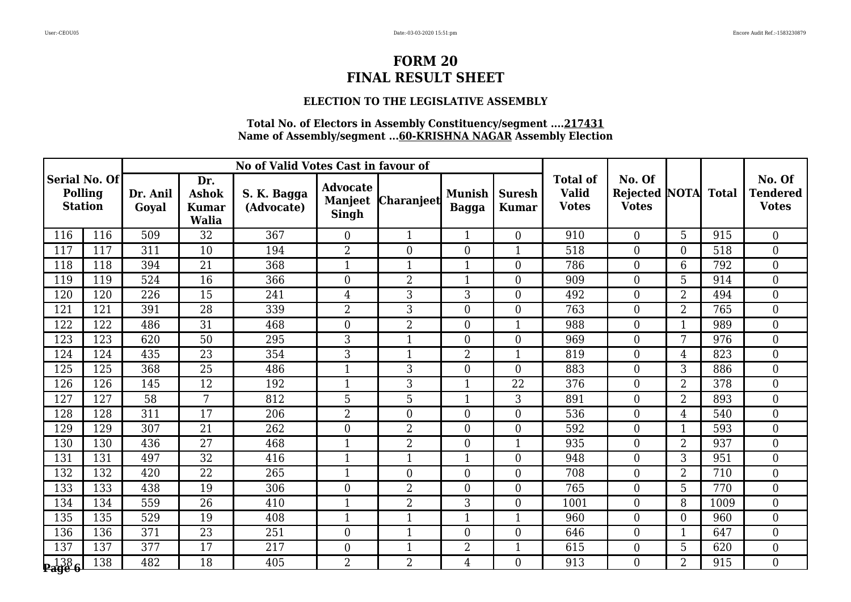### **ELECTION TO THE LEGISLATIVE ASSEMBLY**

|                                            |     |                   |                                                     | No of Valid Votes Cast in favour of |                                                   |                   |                               |                               |                                                 |                                                |                |              |                                           |
|--------------------------------------------|-----|-------------------|-----------------------------------------------------|-------------------------------------|---------------------------------------------------|-------------------|-------------------------------|-------------------------------|-------------------------------------------------|------------------------------------------------|----------------|--------------|-------------------------------------------|
| Serial No. Of<br>Polling<br><b>Station</b> |     | Dr. Anil<br>Goval | Dr.<br><b>Ashok</b><br><b>Kumar</b><br><b>Walia</b> | S. K. Bagga<br>(Advocate)           | <b>Advocate</b><br><b>Manjeet</b><br><b>Singh</b> | <b>Charanjeet</b> | <b>Munish</b><br><b>Bagga</b> | <b>Suresh</b><br><b>Kumar</b> | <b>Total of</b><br><b>Valid</b><br><b>Votes</b> | No. Of<br><b>Rejected NOTA</b><br><b>Votes</b> |                | <b>Total</b> | No. Of<br><b>Tendered</b><br><b>Votes</b> |
| 116                                        | 116 | 509               | 32                                                  | 367                                 | $\overline{0}$                                    | $\mathbf{1}$      | $\mathbf{1}$                  | $\boldsymbol{0}$              | 910                                             | $\overline{0}$                                 | 5              | 915          | $\overline{0}$                            |
| 117                                        | 117 | 311               | 10                                                  | 194                                 | $\overline{2}$                                    | $\overline{0}$    | $\overline{0}$                | $\mathbf{1}$                  | 518                                             | $\Omega$                                       | $\overline{0}$ | 518          | $\overline{0}$                            |
| 118                                        | 118 | 394               | 21                                                  | 368                                 | 1                                                 | $\mathbf{1}$      | $\mathbf{1}$                  | $\boldsymbol{0}$              | 786                                             | $\overline{0}$                                 | 6              | 792          | $\overline{0}$                            |
| 119                                        | 119 | 524               | 16                                                  | 366                                 | $\boldsymbol{0}$                                  | $\overline{2}$    | $\mathbf{1}$                  | $\boldsymbol{0}$              | 909                                             | $\boldsymbol{0}$                               | 5              | 914          | $\boldsymbol{0}$                          |
| 120                                        | 120 | 226               | 15                                                  | 241                                 | $\overline{4}$                                    | 3                 | 3                             | $\overline{0}$                | 492                                             | $\overline{0}$                                 | $\overline{2}$ | 494          | $\overline{0}$                            |
| 121                                        | 121 | 391               | 28                                                  | 339                                 | $\overline{2}$                                    | 3                 | $\boldsymbol{0}$              | $\boldsymbol{0}$              | 763                                             | $\overline{0}$                                 | $\overline{2}$ | 765          | $\overline{0}$                            |
| 122                                        | 122 | 486               | 31                                                  | 468                                 | $\boldsymbol{0}$                                  | $\overline{2}$    | $\mathbf{0}$                  | $\mathbf{1}$                  | 988                                             | $\overline{0}$                                 | $\mathbf{1}$   | 989          | $\mathbf{0}$                              |
| 123                                        | 123 | 620               | 50                                                  | 295                                 | 3                                                 | $\mathbf{1}$      | $\overline{0}$                | $\overline{0}$                | 969                                             | $\overline{0}$                                 | 7              | 976          | $\overline{0}$                            |
| 124                                        | 124 | 435               | $\overline{23}$                                     | 354                                 | $\overline{3}$                                    | $\mathbf 1$       | $\overline{2}$                | $\mathbf{1}$                  | 819                                             | $\overline{0}$                                 | 4              | 823          | $\boldsymbol{0}$                          |
| 125                                        | 125 | 368               | 25                                                  | 486                                 | $\mathbf{1}$                                      | 3                 | $\mathbf{0}$                  | $\overline{0}$                | 883                                             | $\overline{0}$                                 | 3              | 886          | $\mathbf{0}$                              |
| 126                                        | 126 | 145               | 12                                                  | 192                                 | $\mathbf{1}$                                      | 3                 | $\mathbf{1}$                  | 22                            | 376                                             | $\overline{0}$                                 | $\overline{2}$ | 378          | $\theta$                                  |
| 127                                        | 127 | 58                | 7                                                   | 812                                 | 5                                                 | 5                 | $\overline{1}$                | 3                             | 891                                             | $\overline{0}$                                 | $\overline{2}$ | 893          | $\boldsymbol{0}$                          |
| 128                                        | 128 | 311               | 17                                                  | 206                                 | $\overline{2}$                                    | $\boldsymbol{0}$  | $\boldsymbol{0}$              | $\boldsymbol{0}$              | 536                                             | $\overline{0}$                                 | 4              | 540          | $\mathbf{0}$                              |
| 129                                        | 129 | 307               | 21                                                  | 262                                 | $\overline{0}$                                    | $\overline{2}$    | $\boldsymbol{0}$              | $\boldsymbol{0}$              | 592                                             | $\overline{0}$                                 | $\mathbf{1}$   | 593          | $\overline{0}$                            |
| 130                                        | 130 | 436               | 27                                                  | 468                                 | $\overline{1}$                                    | $\overline{2}$    | $\overline{0}$                | $\mathbf{1}$                  | 935                                             | $\overline{0}$                                 | $\overline{2}$ | 937          | $\overline{0}$                            |
| 131                                        | 131 | 497               | $\overline{32}$                                     | 416                                 | $\mathbf{1}$                                      | $\mathbf{1}$      | $\mathbf{1}$                  | $\boldsymbol{0}$              | 948                                             | $\boldsymbol{0}$                               | 3              | 951          | $\overline{0}$                            |
| 132                                        | 132 | 420               | $\overline{22}$                                     | 265                                 | $\mathbf{1}$                                      | $\overline{0}$    | $\boldsymbol{0}$              | $\boldsymbol{0}$              | 708                                             | $\overline{0}$                                 | $\overline{2}$ | 710          | $\mathbf{0}$                              |
| 133                                        | 133 | 438               | 19                                                  | 306                                 | $\overline{0}$                                    | 2                 | $\boldsymbol{0}$              | $\boldsymbol{0}$              | 765                                             | $\overline{0}$                                 | 5              | 770          | $\boldsymbol{0}$                          |
| 134                                        | 134 | 559               | 26                                                  | 410                                 | $\mathbf{1}$                                      | $\overline{2}$    | 3                             | $\mathbf{0}$                  | 1001                                            | $\overline{0}$                                 | 8              | 1009         | $\overline{0}$                            |
| 135                                        | 135 | 529               | 19                                                  | 408                                 | $\mathbf{1}$                                      | $\mathbf{1}$      | $\overline{1}$                | $\mathbf{1}$                  | 960                                             | $\overline{0}$                                 | $\overline{0}$ | 960          | $\overline{0}$                            |
| 136                                        | 136 | 371               | 23                                                  | 251                                 | $\overline{0}$                                    | $\mathbf{1}$      | $\boldsymbol{0}$              | $\boldsymbol{0}$              | 646                                             | $\overline{0}$                                 | $\mathbf{1}$   | 647          | $\boldsymbol{0}$                          |
| 137                                        | 137 | 377               | $\overline{17}$                                     | 217                                 | $\boldsymbol{0}$                                  | $\mathbf{1}$      | $\overline{2}$                | $\mathbf{1}$                  | 615                                             | $\overline{0}$                                 | 5              | 620          | $\mathbf{0}$                              |
| <b>Page 6</b>                              | 138 | 482               | 18                                                  | 405                                 | $\overline{2}$                                    | 2                 | $\overline{4}$                | $\overline{0}$                | 913                                             | $\overline{0}$                                 | 2              | 915          | $\overline{0}$                            |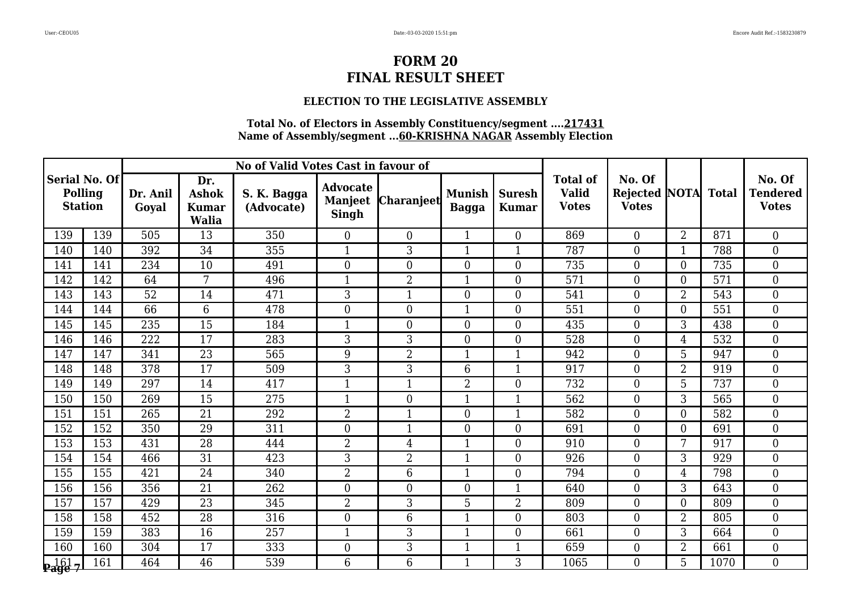### **ELECTION TO THE LEGISLATIVE ASSEMBLY**

|                                            |     |                   |                                                     | No of Valid Votes Cast in favour of |                                                   |                   |                               |                               |                                                 |                                                |                  |              |                                           |
|--------------------------------------------|-----|-------------------|-----------------------------------------------------|-------------------------------------|---------------------------------------------------|-------------------|-------------------------------|-------------------------------|-------------------------------------------------|------------------------------------------------|------------------|--------------|-------------------------------------------|
| Serial No. Of<br>Polling<br><b>Station</b> |     | Dr. Anil<br>Goyal | Dr.<br><b>Ashok</b><br><b>Kumar</b><br><b>Walia</b> | S. K. Bagga<br>(Advocate)           | <b>Advocate</b><br><b>Manjeet</b><br><b>Singh</b> | <b>Charanjeet</b> | <b>Munish</b><br><b>Bagga</b> | <b>Suresh</b><br><b>Kumar</b> | <b>Total of</b><br><b>Valid</b><br><b>Votes</b> | No. Of<br><b>Rejected NOTA</b><br><b>Votes</b> |                  | <b>Total</b> | No. Of<br><b>Tendered</b><br><b>Votes</b> |
| 139                                        | 139 | 505               | 13                                                  | 350                                 | $\overline{0}$                                    | $\overline{0}$    | $\mathbf{1}$                  | $\boldsymbol{0}$              | 869                                             | $\overline{0}$                                 | $\overline{2}$   | 871          | $\overline{0}$                            |
| 140                                        | 140 | 392               | 34                                                  | 355                                 | $\mathbf{1}$                                      | 3                 | $\mathbf{1}$                  | $\mathbf{1}$                  | 787                                             | $\Omega$                                       | $\mathbf{1}$     | 788          | $\overline{0}$                            |
| 141                                        | 141 | 234               | 10                                                  | 491                                 | $\boldsymbol{0}$                                  | $\overline{0}$    | $\boldsymbol{0}$              | $\boldsymbol{0}$              | 735                                             | $\overline{0}$                                 | $\overline{0}$   | 735          | $\boldsymbol{0}$                          |
| 142                                        | 142 | 64                | 7                                                   | 496                                 | $\mathbf{1}$                                      | $\overline{2}$    | $\mathbf{1}$                  | $\boldsymbol{0}$              | 571                                             | $\overline{0}$                                 | $\boldsymbol{0}$ | 571          | $\boldsymbol{0}$                          |
| 143                                        | 143 | 52                | 14                                                  | 471                                 | 3                                                 | $\mathbf{1}$      | $\overline{0}$                | $\overline{0}$                | 541                                             | $\overline{0}$                                 | $\overline{2}$   | 543          | $\overline{0}$                            |
| 144                                        | 144 | 66                | 6                                                   | 478                                 | $\overline{0}$                                    | $\overline{0}$    | $\mathbf{1}$                  | $\boldsymbol{0}$              | 551                                             | $\overline{0}$                                 | $\overline{0}$   | 551          | $\overline{0}$                            |
| 145                                        | 145 | 235               | 15                                                  | 184                                 | $\mathbf{1}$                                      | $\overline{0}$    | $\mathbf{0}$                  | $\boldsymbol{0}$              | 435                                             | $\overline{0}$                                 | 3                | 438          | $\mathbf{0}$                              |
| 146                                        | 146 | 222               | 17                                                  | 283                                 | 3                                                 | 3                 | $\overline{0}$                | $\overline{0}$                | 528                                             | $\overline{0}$                                 | $\overline{4}$   | 532          | $\overline{0}$                            |
| 147                                        | 147 | 341               | $\overline{23}$                                     | 565                                 | 9                                                 | $\overline{2}$    | $\mathbf{1}$                  | $\mathbf{1}$                  | 942                                             | $\overline{0}$                                 | 5                | 947          | $\boldsymbol{0}$                          |
| 148                                        | 148 | 378               | 17                                                  | 509                                 | 3                                                 | 3                 | 6                             | $\mathbf{1}$                  | 917                                             | $\overline{0}$                                 | $\overline{2}$   | 919          | $\mathbf{0}$                              |
| 149                                        | 149 | 297               | 14                                                  | 417                                 | $\mathbf{1}$                                      | $\mathbf{1}$      | $\overline{2}$                | $\overline{0}$                | 732                                             | $\overline{0}$                                 | 5                | 737          | $\theta$                                  |
| 150                                        | 150 | 269               | 15                                                  | 275                                 | $\mathbf{1}$                                      | $\overline{0}$    | $\mathbf{1}$                  | $\mathbf{1}$                  | 562                                             | $\overline{0}$                                 | 3                | 565          | $\boldsymbol{0}$                          |
| 151                                        | 151 | 265               | $\overline{21}$                                     | 292                                 | $\overline{2}$                                    | $\mathbf{1}$      | $\boldsymbol{0}$              | $\mathbf{1}$                  | 582                                             | $\overline{0}$                                 | $\boldsymbol{0}$ | 582          | $\mathbf{0}$                              |
| 152                                        | 152 | 350               | 29                                                  | 311                                 | $\overline{0}$                                    | $\mathbf{1}$      | $\boldsymbol{0}$              | $\boldsymbol{0}$              | 691                                             | $\overline{0}$                                 | $\overline{0}$   | 691          | $\overline{0}$                            |
| 153                                        | 153 | 431               | 28                                                  | 444                                 | $\overline{2}$                                    | $\overline{4}$    | $\overline{1}$                | $\overline{0}$                | 910                                             | $\overline{0}$                                 | 7                | 917          | $\overline{0}$                            |
| 154                                        | 154 | 466               | 31                                                  | 423                                 | $\overline{3}$                                    | $\overline{2}$    | $\mathbf{1}$                  | $\boldsymbol{0}$              | 926                                             | $\boldsymbol{0}$                               | 3                | 929          | $\overline{0}$                            |
| 155                                        | 155 | 421               | 24                                                  | 340                                 | $\overline{2}$                                    | 6                 | $\mathbf{1}$                  | $\boldsymbol{0}$              | 794                                             | $\overline{0}$                                 | 4                | 798          | $\boldsymbol{0}$                          |
| 156                                        | 156 | 356               | 21                                                  | 262                                 | $\overline{0}$                                    | $\Omega$          | $\boldsymbol{0}$              | $\mathbf{1}$                  | 640                                             | $\overline{0}$                                 | 3                | 643          | $\boldsymbol{0}$                          |
| 157                                        | 157 | 429               | $\overline{23}$                                     | 345                                 | $\overline{2}$                                    | 3                 | 5                             | $\overline{2}$                | 809                                             | $\overline{0}$                                 | $\overline{0}$   | 809          | $\overline{0}$                            |
| 158                                        | 158 | 452               | 28                                                  | 316                                 | $\overline{0}$                                    | 6                 | $\overline{1}$                | $\boldsymbol{0}$              | 803                                             | $\overline{0}$                                 | $\overline{2}$   | 805          | $\overline{0}$                            |
| 159                                        | 159 | 383               | 16                                                  | 257                                 | $\mathbf{1}$                                      | 3                 | $\mathbf{1}$                  | $\boldsymbol{0}$              | 661                                             | $\overline{0}$                                 | 3                | 664          | $\boldsymbol{0}$                          |
| 160                                        | 160 | 304               | $\overline{17}$                                     | 333                                 | $\boldsymbol{0}$                                  | 3                 | $\mathbf{1}$                  | $\mathbf{1}$                  | 659                                             | $\overline{0}$                                 | $\overline{2}$   | 661          | $\mathbf{0}$                              |
| $\frac{161}{\text{Page }7}$                | 161 | 464               | 46                                                  | 539                                 | 6                                                 | 6                 | $\mathbf{1}$                  | 3                             | 1065                                            | $\overline{0}$                                 | 5                | 1070         | $\overline{0}$                            |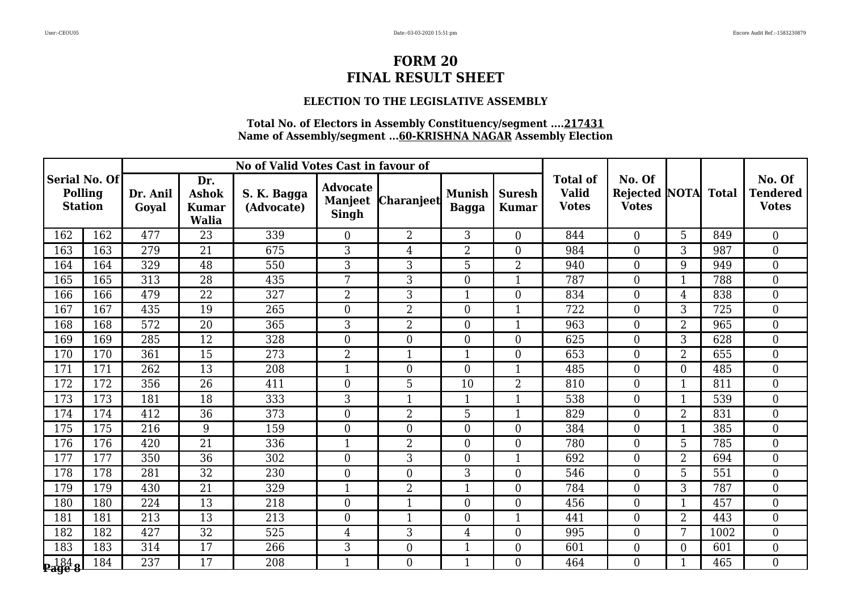### **ELECTION TO THE LEGISLATIVE ASSEMBLY**

|                           |               |                   |                                                     | No of Valid Votes Cast in favour of |                                                   |                   |                               |                               |                                                 |                                                |                          |              |                                           |
|---------------------------|---------------|-------------------|-----------------------------------------------------|-------------------------------------|---------------------------------------------------|-------------------|-------------------------------|-------------------------------|-------------------------------------------------|------------------------------------------------|--------------------------|--------------|-------------------------------------------|
| Polling<br><b>Station</b> | Serial No. Of | Dr. Anil<br>Goval | Dr.<br><b>Ashok</b><br><b>Kumar</b><br><b>Walia</b> | S. K. Bagga<br>(Advocate)           | <b>Advocate</b><br><b>Manjeet</b><br><b>Singh</b> | <b>Charanjeet</b> | <b>Munish</b><br><b>Bagga</b> | <b>Suresh</b><br><b>Kumar</b> | <b>Total of</b><br><b>Valid</b><br><b>Votes</b> | No. Of<br><b>Rejected NOTA</b><br><b>Votes</b> |                          | <b>Total</b> | No. Of<br><b>Tendered</b><br><b>Votes</b> |
| 162                       | 162           | 477               | 23                                                  | 339                                 | $\boldsymbol{0}$                                  | $\overline{2}$    | 3                             | $\boldsymbol{0}$              | 844                                             | $\overline{0}$                                 | 5                        | 849          | $\boldsymbol{0}$                          |
| 163                       | 163           | 279               | 21                                                  | 675                                 | 3                                                 | $\overline{4}$    | $\overline{2}$                | $\boldsymbol{0}$              | 984                                             | $\overline{0}$                                 | 3                        | 987          | $\overline{0}$                            |
| 164                       | 164           | 329               | 48                                                  | 550                                 | 3                                                 | 3                 | $\overline{5}$                | $\overline{2}$                | 940                                             | $\overline{0}$                                 | 9                        | 949          | $\boldsymbol{0}$                          |
| 165                       | 165           | 313               | $\overline{28}$                                     | 435                                 | $7\phantom{.}$                                    | 3                 | $\mathbf{0}$                  | $\mathbf{1}$                  | 787                                             | $\overline{0}$                                 | $\mathbf{1}$             | 788          | $\mathbf{0}$                              |
| 166                       | 166           | 479               | 22                                                  | 327                                 | $\overline{2}$                                    | 3                 | $\mathbf{1}$                  | $\overline{0}$                | 834                                             | $\overline{0}$                                 | $\overline{4}$           | 838          | $\overline{0}$                            |
| 167                       | 167           | 435               | 19                                                  | 265                                 | $\overline{0}$                                    | $\overline{2}$    | $\boldsymbol{0}$              | $\mathbf{1}$                  | 722                                             | $\overline{0}$                                 | 3                        | 725          | $\boldsymbol{0}$                          |
| 168                       | 168           | 572               | $\overline{20}$                                     | 365                                 | 3                                                 | $\overline{2}$    | $\boldsymbol{0}$              | $\mathbf{1}$                  | 963                                             | $\boldsymbol{0}$                               | $\overline{2}$           | 965          | $\boldsymbol{0}$                          |
| 169                       | 169           | 285               | 12                                                  | 328                                 | $\overline{0}$                                    | $\overline{0}$    | $\overline{0}$                | $\overline{0}$                | 625                                             | $\overline{0}$                                 | 3                        | 628          | $\overline{0}$                            |
| 170                       | 170           | 361               | 15                                                  | 273                                 | $\overline{2}$                                    | $\overline{1}$    | $\mathbf{1}$                  | $\boldsymbol{0}$              | 653                                             | $\overline{0}$                                 | $\overline{2}$           | 655          | $\overline{0}$                            |
| 171                       | 171           | 262               | 13                                                  | 208                                 | $\mathbf{1}$                                      | $\overline{0}$    | $\boldsymbol{0}$              | $\mathbf{1}$                  | 485                                             | $\overline{0}$                                 | $\mathbf{0}$             | 485          | $\boldsymbol{0}$                          |
| 172                       | 172           | 356               | 26                                                  | 411                                 | $\overline{0}$                                    | 5                 | 10                            | 2                             | 810                                             | $\overline{0}$                                 | 1                        | 811          | $\overline{0}$                            |
| 173                       | 173           | 181               | 18                                                  | 333                                 | 3                                                 |                   | $\mathbf{1}$                  | $\mathbf{1}$                  | 538                                             | $\overline{0}$                                 | $\overline{\phantom{a}}$ | 539          | $\overline{0}$                            |
| 174                       | 174           | 412               | $\overline{36}$                                     | 373                                 | $\boldsymbol{0}$                                  | $\overline{2}$    | 5                             | $\mathbf{1}$                  | 829                                             | $\overline{0}$                                 | $\overline{2}$           | 831          | $\mathbf{0}$                              |
| 175                       | 175           | 216               | 9                                                   | 159                                 | $\overline{0}$                                    | $\overline{0}$    | $\boldsymbol{0}$              | $\boldsymbol{0}$              | 384                                             | $\overline{0}$                                 | $\mathbf{1}$             | 385          | $\overline{0}$                            |
| 176                       | 176           | 420               | 21                                                  | 336                                 | $\mathbf{1}$                                      | $\overline{2}$    | $\boldsymbol{0}$              | $\boldsymbol{0}$              | 780                                             | $\overline{0}$                                 | 5                        | 785          | $\boldsymbol{0}$                          |
| 177                       | 177           | 350               | 36                                                  | 302                                 | $\overline{0}$                                    | $\overline{3}$    | $\mathbf{0}$                  | $\mathbf{1}$                  | 692                                             | $\boldsymbol{0}$                               | $\overline{2}$           | 694          | $\overline{0}$                            |
| 178                       | 178           | 281               | $\overline{32}$                                     | 230                                 | $\overline{0}$                                    | $\Omega$          | 3                             | $\boldsymbol{0}$              | 546                                             | $\overline{0}$                                 | 5                        | 551          | $\mathbf{0}$                              |
| 179                       | 179           | 430               | 21                                                  | 329                                 | $\mathbf{1}$                                      | 2                 | $\mathbf{1}$                  | $\boldsymbol{0}$              | 784                                             | $\overline{0}$                                 | 3                        | 787          | $\boldsymbol{0}$                          |
| 180                       | 180           | 224               | 13                                                  | 218                                 | $\boldsymbol{0}$                                  | $\mathbf{1}$      | $\boldsymbol{0}$              | $\boldsymbol{0}$              | 456                                             | $\overline{0}$                                 | $\mathbf{1}$             | 457          | $\boldsymbol{0}$                          |
| 181                       | 181           | 213               | 13                                                  | 213                                 | $\overline{0}$                                    | $\mathbf 1$       | $\boldsymbol{0}$              | $\mathbf{1}$                  | 441                                             | $\overline{0}$                                 | $\overline{2}$           | 443          | $\overline{0}$                            |
| 182                       | 182           | 427               | $\overline{32}$                                     | 525                                 | $\overline{4}$                                    | 3                 | $\overline{4}$                | $\boldsymbol{0}$              | 995                                             | $\overline{0}$                                 | 7                        | 1002         | $\overline{0}$                            |
| 183                       | 183           | 314               | $\overline{17}$                                     | 266                                 | 3                                                 | $\overline{0}$    | $\mathbf{1}$                  | $\boldsymbol{0}$              | 601                                             | $\overline{0}$                                 | $\overline{0}$           | 601          | $\mathbf{0}$                              |
| <b>  184<br/>Page 8</b>   | 184           | 237               | 17                                                  | 208                                 | $\mathbf{1}$                                      | $\overline{0}$    | $\mathbf{1}$                  | $\overline{0}$                | 464                                             | $\overline{0}$                                 | $\overline{\mathbf{1}}$  | 465          | $\overline{0}$                            |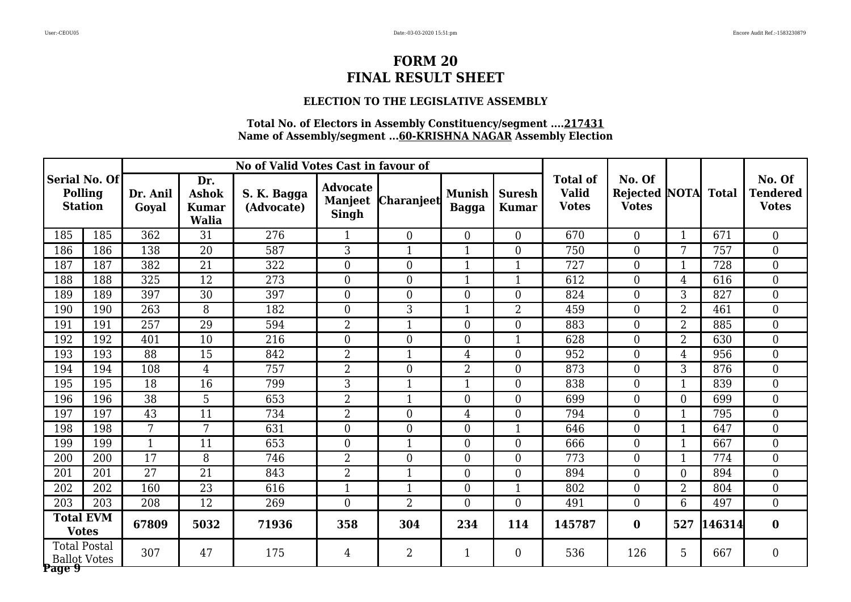### **ELECTION TO THE LEGISLATIVE ASSEMBLY**

|                                  |                                            |                   |                                                     | No of Valid Votes Cast in favour of |                                                   |                         |                               |                               |                                                 |                                                      |                |        |                                           |
|----------------------------------|--------------------------------------------|-------------------|-----------------------------------------------------|-------------------------------------|---------------------------------------------------|-------------------------|-------------------------------|-------------------------------|-------------------------------------------------|------------------------------------------------------|----------------|--------|-------------------------------------------|
| <b>Polling</b><br><b>Station</b> | Serial No. Of                              | Dr. Anil<br>Goyal | Dr.<br><b>Ashok</b><br><b>Kumar</b><br><b>Walia</b> | S. K. Bagga<br>(Advocate)           | <b>Advocate</b><br><b>Manjeet</b><br><b>Singh</b> | <b>Charanjeet</b>       | <b>Munish</b><br><b>Bagga</b> | <b>Suresh</b><br><b>Kumar</b> | <b>Total of</b><br><b>Valid</b><br><b>Votes</b> | No. Of<br><b>Rejected NOTA</b> Total<br><b>Votes</b> |                |        | No. Of<br><b>Tendered</b><br><b>Votes</b> |
| 185                              | 185                                        | 362               | 31                                                  | 276                                 | $\overline{1}$                                    | $\overline{0}$          | $\boldsymbol{0}$              | $\overline{0}$                | 670                                             | $\boldsymbol{0}$                                     | $\mathbf{1}$   | 671    | $\boldsymbol{0}$                          |
| 186                              | 186                                        | 138               | $\overline{20}$                                     | 587                                 | $\overline{3}$                                    | $\mathbf{1}$            | $\mathbf{1}$                  | $\overline{0}$                | 750                                             | $\overline{0}$                                       | 7              | 757    | $\overline{0}$                            |
| 187                              | 187                                        | 382               | 21                                                  | 322                                 | $\boldsymbol{0}$                                  | $\overline{0}$          | $\mathbf{1}$                  | $\mathbf{1}$                  | 727                                             | $\boldsymbol{0}$                                     | $\mathbf{1}$   | 728    | $\boldsymbol{0}$                          |
| 188                              | 188                                        | 325               | 12                                                  | 273                                 | $\overline{0}$                                    | $\overline{0}$          | $\mathbf{1}$                  | $\mathbf{1}$                  | 612                                             | $\overline{0}$                                       | $\overline{4}$ | 616    | $\boldsymbol{0}$                          |
| 189                              | 189                                        | 397               | $\overline{30}$                                     | 397                                 | $\overline{0}$                                    | $\theta$                | $\overline{0}$                | $\overline{0}$                | 824                                             | $\overline{0}$                                       | 3              | 827    | $\overline{0}$                            |
| 190                              | 190                                        | 263               | 8                                                   | 182                                 | $\boldsymbol{0}$                                  | 3                       | 1                             | $\overline{2}$                | 459                                             | $\boldsymbol{0}$                                     | $\overline{2}$ | 461    | $\boldsymbol{0}$                          |
| 191                              | 191                                        | 257               | 29                                                  | 594                                 | $\overline{2}$                                    | $\overline{\mathbf{1}}$ | $\overline{0}$                | $\overline{0}$                | 883                                             | $\overline{0}$                                       | $\overline{2}$ | 885    | $\overline{0}$                            |
| 192                              | 192                                        | 401               | $\overline{10}$                                     | 216                                 | $\overline{0}$                                    | $\theta$                | $\overline{0}$                | $\mathbf{1}$                  | 628                                             | $\overline{0}$                                       | $\overline{2}$ | 630    | $\overline{0}$                            |
| 193                              | 193                                        | 88                | 15                                                  | 842                                 | $\overline{2}$                                    | $\mathbf{1}$            | 4                             | $\overline{0}$                | 952                                             | $\boldsymbol{0}$                                     | $\overline{4}$ | 956    | $\boldsymbol{0}$                          |
| 194                              | 194                                        | 108               | $\overline{4}$                                      | 757                                 | $\overline{2}$                                    | $\overline{0}$          | $\overline{2}$                | $\boldsymbol{0}$              | 873                                             | $\overline{0}$                                       | 3              | 876    | $\boldsymbol{0}$                          |
| 195                              | 195                                        | 18                | 16                                                  | 799                                 | $\overline{3}$                                    | $\mathbf{1}$            | $\mathbf{1}$                  | $\boldsymbol{0}$              | 838                                             | $\overline{0}$                                       | $\mathbf{1}$   | 839    | $\overline{0}$                            |
| 196                              | 196                                        | 38                | 5                                                   | 653                                 | $\overline{2}$                                    | $\mathbf{1}$            | $\overline{0}$                | $\overline{0}$                | 699                                             | $\overline{0}$                                       | $\overline{0}$ | 699    | $\boldsymbol{0}$                          |
| 197                              | 197                                        | $\overline{43}$   | $\overline{11}$                                     | 734                                 | $\overline{2}$                                    | $\overline{0}$          | $\overline{4}$                | $\boldsymbol{0}$              | 794                                             | $\overline{0}$                                       | $\mathbf{1}$   | 795    | $\overline{0}$                            |
| 198                              | 198                                        | $7\phantom{.}$    | 7                                                   | 631                                 | $\overline{0}$                                    | $\theta$                | $\overline{0}$                | $\mathbf{1}$                  | 646                                             | $\overline{0}$                                       | $\mathbf{1}$   | 647    | $\overline{0}$                            |
| 199                              | 199                                        | $\mathbf{1}$      | 11                                                  | 653                                 | $\overline{0}$                                    | $\mathbf{1}$            | $\overline{0}$                | $\overline{0}$                | 666                                             | $\overline{0}$                                       | $\mathbf{1}$   | 667    | $\boldsymbol{0}$                          |
| 200                              | 200                                        | 17                | 8                                                   | 746                                 | $\overline{2}$                                    | $\overline{0}$          | $\overline{0}$                | $\boldsymbol{0}$              | 773                                             | $\boldsymbol{0}$                                     | $\mathbf{1}$   | 774    | $\boldsymbol{0}$                          |
| 201                              | 201                                        | $\overline{27}$   | $\overline{21}$                                     | 843                                 | $\overline{2}$                                    | $\mathbf{1}$            | $\overline{0}$                | $\overline{0}$                | 894                                             | $\overline{0}$                                       | $\theta$       | 894    | $\overline{0}$                            |
| 202                              | 202                                        | 160               | $\overline{23}$                                     | 616                                 | $\mathbf{1}$                                      | $\mathbf{1}$            | $\overline{0}$                | $\mathbf{1}$                  | 802                                             | $\overline{0}$                                       | $\overline{2}$ | 804    | $\boldsymbol{0}$                          |
| 203                              | 203                                        | 208               | 12                                                  | 269                                 | $\overline{0}$                                    | $\overline{2}$          | $\overline{0}$                | $\overline{0}$                | 491                                             | $\boldsymbol{0}$                                     | 6              | 497    | $\overline{0}$                            |
|                                  | <b>Total EVM</b><br><b>Votes</b>           | 67809             | 5032                                                | 71936                               | 358                                               | 304                     | 234                           | 114                           | 145787                                          | $\bf{0}$                                             | 527            | 146314 | $\bf{0}$                                  |
| Page 9                           | <b>Total Postal</b><br><b>Ballot Votes</b> | 307               | 47                                                  | 175                                 | $\overline{4}$                                    | $\overline{2}$          | 1                             | $\overline{0}$                | 536                                             | 126                                                  | 5              | 667    | $\boldsymbol{0}$                          |